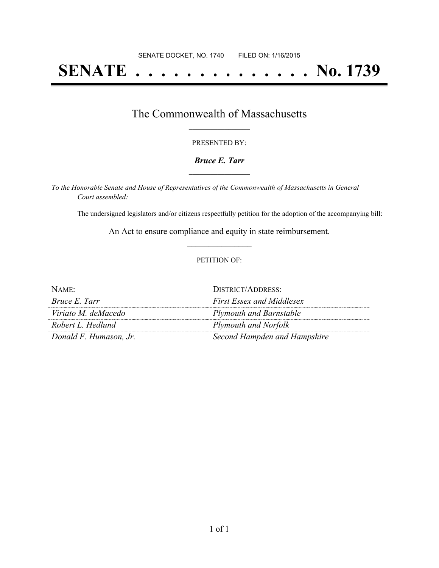# **SENATE . . . . . . . . . . . . . . No. 1739**

## The Commonwealth of Massachusetts **\_\_\_\_\_\_\_\_\_\_\_\_\_\_\_\_\_**

#### PRESENTED BY:

#### *Bruce E. Tarr* **\_\_\_\_\_\_\_\_\_\_\_\_\_\_\_\_\_**

*To the Honorable Senate and House of Representatives of the Commonwealth of Massachusetts in General Court assembled:*

The undersigned legislators and/or citizens respectfully petition for the adoption of the accompanying bill:

An Act to ensure compliance and equity in state reimbursement. **\_\_\_\_\_\_\_\_\_\_\_\_\_\_\_**

#### PETITION OF:

| NAME:                  | <b>DISTRICT/ADDRESS:</b>         |
|------------------------|----------------------------------|
| <i>Bruce E. Tarr</i>   | <b>First Essex and Middlesex</b> |
| Viriato M. deMacedo    | <b>Plymouth and Barnstable</b>   |
| Robert L. Hedlund      | Plymouth and Norfolk             |
| Donald F. Humason, Jr. | Second Hampden and Hampshire     |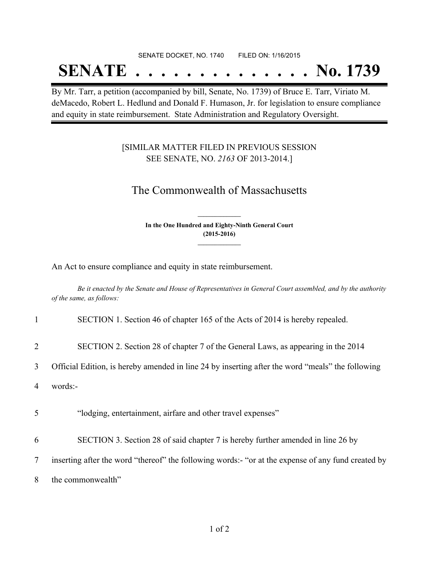#### SENATE DOCKET, NO. 1740 FILED ON: 1/16/2015

## **SENATE . . . . . . . . . . . . . . No. 1739**

By Mr. Tarr, a petition (accompanied by bill, Senate, No. 1739) of Bruce E. Tarr, Viriato M. deMacedo, Robert L. Hedlund and Donald F. Humason, Jr. for legislation to ensure compliance and equity in state reimbursement. State Administration and Regulatory Oversight.

### [SIMILAR MATTER FILED IN PREVIOUS SESSION SEE SENATE, NO. *2163* OF 2013-2014.]

## The Commonwealth of Massachusetts

**In the One Hundred and Eighty-Ninth General Court (2015-2016) \_\_\_\_\_\_\_\_\_\_\_\_\_\_\_**

**\_\_\_\_\_\_\_\_\_\_\_\_\_\_\_**

An Act to ensure compliance and equity in state reimbursement.

Be it enacted by the Senate and House of Representatives in General Court assembled, and by the authority *of the same, as follows:*

|   | SECTION 1. Section 46 of chapter 165 of the Acts of 2014 is hereby repealed.                     |
|---|--------------------------------------------------------------------------------------------------|
| 2 | SECTION 2. Section 28 of chapter 7 of the General Laws, as appearing in the 2014                 |
|   | Official Edition, is hereby amended in line 24 by inserting after the word "meals" the following |

4 words:-

5 "lodging, entertainment, airfare and other travel expenses"

6 SECTION 3. Section 28 of said chapter 7 is hereby further amended in line 26 by

7 inserting after the word "thereof" the following words:- "or at the expense of any fund created by

8 the commonwealth"